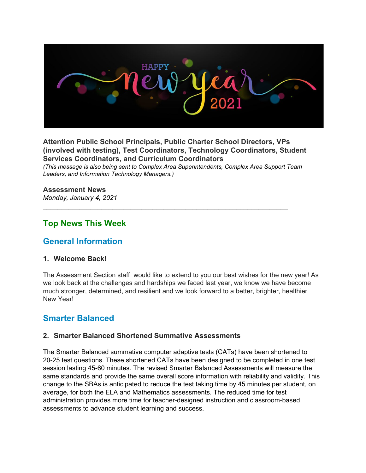

**Attention Public School Principals, Public Charter School Directors, VPs (involved with testing), Test Coordinators, Technology Coordinators, Student Services Coordinators, and Curriculum Coordinators**

*(This message is also being sent to Complex Area Superintendents, Complex Area Support Team Leaders, and Information Technology Managers.)*

 $\mathcal{L}_\text{G} = \{ \mathcal{L}_\text{G} = \{ \mathcal{L}_\text{G} = \{ \mathcal{L}_\text{G} = \{ \mathcal{L}_\text{G} = \{ \mathcal{L}_\text{G} = \{ \mathcal{L}_\text{G} = \{ \mathcal{L}_\text{G} = \{ \mathcal{L}_\text{G} = \{ \mathcal{L}_\text{G} = \{ \mathcal{L}_\text{G} = \{ \mathcal{L}_\text{G} = \{ \mathcal{L}_\text{G} = \{ \mathcal{L}_\text{G} = \{ \mathcal{L}_\text{G} = \{ \mathcal{L}_\text{G$ 

#### **Assessment News**

*Monday, January 4, 2021*

## **Top News This Week**

## **General Information**

#### **1. Welcome Back!**

The Assessment Section staff would like to extend to you our best wishes for the new year! As we look back at the challenges and hardships we faced last year, we know we have become much stronger, determined, and resilient and we look forward to a better, brighter, healthier New Year!

## **Smarter Balanced**

#### **2. Smarter Balanced Shortened Summative Assessments**

The Smarter Balanced summative computer adaptive tests (CATs) have been shortened to 20-25 test questions. These shortened CATs have been designed to be completed in one test session lasting 45-60 minutes. The revised Smarter Balanced Assessments will measure the same standards and provide the same overall score information with reliability and validity. This change to the SBAs is anticipated to reduce the test taking time by 45 minutes per student, on average, for both the ELA and Mathematics assessments. The reduced time for test administration provides more time for teacher-designed instruction and classroom-based assessments to advance student learning and success.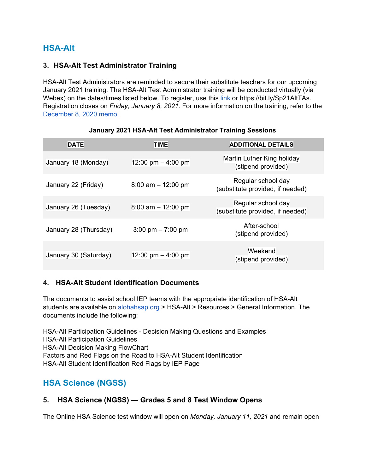# **HSA-Alt**

### **3. HSA-Alt Test Administrator Training**

HSA-Alt Test Administrators are reminded to secure their substitute teachers for our upcoming January 2021 training. The HSA-Alt Test Administrator training will be conducted virtually (via Webex) on the dates/times listed below. To register, use this [link](https://events.r20.constantcontact.com/register/eventReg?oeidk=a07ehfqckvfedbd636e) or https://bit.ly/Sp21AltTAs. Registration closes on *Friday, January 8, 2021*. For more information on the training, refer to the [December](https://hsa-alt.alohahsap.org/core/fileparse.php/3344/urlt/HSA-Alt-Spring-2021-TA-Training-Memo_12082020.pdf) 8, 2020 memo.

| <b>DATE</b>           | <b>TIME</b>                         | <b>ADDITIONAL DETAILS</b>                              |
|-----------------------|-------------------------------------|--------------------------------------------------------|
| January 18 (Monday)   | 12:00 pm $-$ 4:00 pm                | Martin Luther King holiday<br>(stipend provided)       |
| January 22 (Friday)   | $8:00$ am $-12:00$ pm               | Regular school day<br>(substitute provided, if needed) |
| January 26 (Tuesday)  | $8:00$ am $-12:00$ pm               | Regular school day<br>(substitute provided, if needed) |
| January 28 (Thursday) | $3:00 \text{ pm} - 7:00 \text{ pm}$ | After-school<br>(stipend provided)                     |
| January 30 (Saturday) | 12:00 pm $-$ 4:00 pm                | Weekend<br>(stipend provided)                          |

#### **January 2021 HSA-Alt Test Administrator Training Sessions**

## **4. HSA-Alt Student Identification Documents**

The documents to assist school IEP teams with the appropriate identification of HSA-Alt students are available on [alohahsap.org](https://alohahsap.org/) > HSA-Alt > Resources > General Information. The documents include the following:

HSA-Alt Participation Guidelines - Decision Making Questions and Examples HSA-Alt Participation Guidelines HSA-Alt Decision Making FlowChart Factors and Red Flags on the Road to HSA-Alt Student Identification HSA-Alt Student Identification Red Flags by IEP Page

# **HSA Science (NGSS)**

## **5. HSA Science (NGSS) — Grades 5 and 8 Test Window Opens**

The Online HSA Science test window will open on *Monday, January 11, 2021* and remain open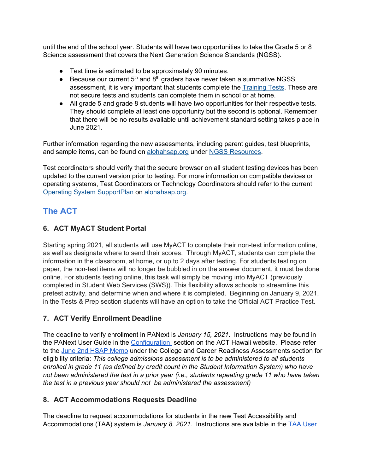until the end of the school year. Students will have two opportunities to take the Grade 5 or 8 Science assessment that covers the Next Generation Science Standards (NGSS).

- Test time is estimated to be approximately 90 minutes.
- Because our current  $5<sup>th</sup>$  and  $8<sup>th</sup>$  graders have never taken a summative NGSS assessment, it is very important that students complete the [Training](https://login9.cloud1.tds.airast.org/student/V506/Pages/LoginShell.aspx?c=Hawaii_PT) Tests. These are not secure tests and students can complete them in school or at home.
- All grade 5 and grade 8 students will have two opportunities for their respective tests. They should complete at least one opportunity but the second is optional. Remember that there will be no results available until achievement standard setting takes place in June 2021.

Further information regarding the new assessments, including parent guides, test blueprints, and sample items, can be found o[n](http://alohahsap.org/) [alohahsap.org](http://alohahsap.org/) under NGSS [Resources](https://hsa.alohahsap.org/resources/ngss-resources/).

Test coordinators should verify that the secure browser on all student testing devices has been updated to the current version prior to testing. For more information on compatible devices or operating systems, Test Coordinators or Technology Coordinators should refer to the curren[t](https://smarterbalanced.alohahsap.org/resources/technology/) Operating System [SupportPlan](https://smarterbalanced.alohahsap.org/resources/technology/) o[n](http://alohahsap.org/) [alohahsap.org](http://alohahsap.org/).

# **The ACT**

## **6. ACT MyACT Student Portal**

Starting spring 2021, all students will use MyACT to complete their non-test information online, as well as designate where to send their scores. Through MyACT, students can complete the information in the classroom, at home, or up to 2 days after testing. For students testing on paper, the non-test items will no longer be bubbled in on the answer document, it must be done online. For students testing online, this task will simply be moving into MyACT (previously completed in Student Web Services (SWS)). This flexibility allows schools to streamline this pretest activity, and determine when and where it is completed. Beginning on January 9, 2021, in the Tests & Prep section students will have an option to take the Official ACT Practice Test.

## **7. ACT Verify Enrollment Deadline**

The deadline to verify enrollment in PANext is *January 15, 2021*. Instructions may be found in the PANext User Guide in the [Configuration](https://www.act.org/content/act/en/products-and-services/state-and-district-solutions/hawaii/the-act.html#configuration) section on the ACT Hawaii website. Please refer to the June 2nd HSAP [Memo](https://smarterbalanced.alohahsap.org/core/fileparse.php/3410/urlt/Memo_HSAP-SY-2020-21_060220.pdf) under the College and Career Readiness Assessments section for eligibility criteria: *This college admissions assessment is to be administered to all students enrolled in grade 11 (as defined by credit count in the Student Information System) who have not been administered the test in a prior year (i.e., students repeating grade 11 who have taken the test in a previous year should not be administered the assessment)*

## **8. ACT Accommodations Requests Deadline**

The deadline to request accommodations for students in the new Test Accessibility and Accommodations (TAA) system is *January 8, 2021*. Instructions are available in the TAA [User](https://www.act.org/content/dam/act/unsecured/documents/user-guide-test-accessibility-and-accommodations.pdf)